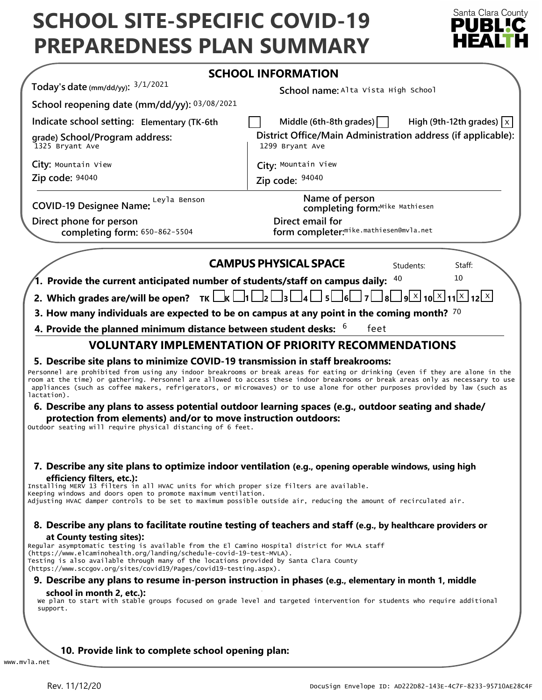# **SCHOOL SITE-SPECIFIC COVID-19 PREPAREDNESS PLAN SUMMARY**



|                                                                                                                                                                                                                                                                                                                                                                     | <b>SCHOOL INFORMATION</b>                                                                                                                                                                                                                                                                                                                                                                                                                                                                                |
|---------------------------------------------------------------------------------------------------------------------------------------------------------------------------------------------------------------------------------------------------------------------------------------------------------------------------------------------------------------------|----------------------------------------------------------------------------------------------------------------------------------------------------------------------------------------------------------------------------------------------------------------------------------------------------------------------------------------------------------------------------------------------------------------------------------------------------------------------------------------------------------|
| Today's date (mm/dd/yy): $3/1/2021$                                                                                                                                                                                                                                                                                                                                 | School name: Alta Vista High School                                                                                                                                                                                                                                                                                                                                                                                                                                                                      |
| School reopening date (mm/dd/yy): 03/08/2021                                                                                                                                                                                                                                                                                                                        |                                                                                                                                                                                                                                                                                                                                                                                                                                                                                                          |
| Indicate school setting: Elementary (TK-6th                                                                                                                                                                                                                                                                                                                         | Middle (6th-8th grades) $\vert$<br>High (9th-12th grades) $ x $                                                                                                                                                                                                                                                                                                                                                                                                                                          |
| grade) School/Program address:<br>1325 Bryant Ave                                                                                                                                                                                                                                                                                                                   | District Office/Main Administration address (if applicable):<br>1299 Bryant Ave                                                                                                                                                                                                                                                                                                                                                                                                                          |
| City: Mountain View                                                                                                                                                                                                                                                                                                                                                 | City: Mountain View                                                                                                                                                                                                                                                                                                                                                                                                                                                                                      |
| Zip code: 94040                                                                                                                                                                                                                                                                                                                                                     | Zip code: 94040                                                                                                                                                                                                                                                                                                                                                                                                                                                                                          |
| COVID-19 Designee Name: Leyla Benson                                                                                                                                                                                                                                                                                                                                | Name of person<br>completing form:Mike Mathiesen                                                                                                                                                                                                                                                                                                                                                                                                                                                         |
| Direct phone for person<br>completing form: 650-862-5504                                                                                                                                                                                                                                                                                                            | Direct email for<br>form completer: <sup>mike.mathiesen@mvla.net</sup>                                                                                                                                                                                                                                                                                                                                                                                                                                   |
|                                                                                                                                                                                                                                                                                                                                                                     | <b>CAMPUS PHYSICAL SPACE</b><br>Students:<br>Staff:                                                                                                                                                                                                                                                                                                                                                                                                                                                      |
| 1. Provide the current anticipated number of students/staff on campus daily:                                                                                                                                                                                                                                                                                        | 10<br>40                                                                                                                                                                                                                                                                                                                                                                                                                                                                                                 |
| 2. Which grades are/will be open? $TK \Box K \Box 1 \Box 2 \Box 3 \Box 4$                                                                                                                                                                                                                                                                                           | $\lfloor 8 \rfloor \rfloor$ و $\lfloor 1 \rfloor \times \lfloor 10 \rfloor \times \lfloor 11 \rfloor \times \lfloor 12 \rfloor \times \lfloor 13 \rfloor$<br>$\sqcup$ 5 $\sqcup$ 6 $\sqcup$ 7 $\mid$                                                                                                                                                                                                                                                                                                     |
|                                                                                                                                                                                                                                                                                                                                                                     | 3. How many individuals are expected to be on campus at any point in the coming month? $70$                                                                                                                                                                                                                                                                                                                                                                                                              |
| 4. Provide the planned minimum distance between student desks: $6\,$                                                                                                                                                                                                                                                                                                | feet                                                                                                                                                                                                                                                                                                                                                                                                                                                                                                     |
|                                                                                                                                                                                                                                                                                                                                                                     | <b>VOLUNTARY IMPLEMENTATION OF PRIORITY RECOMMENDATIONS</b>                                                                                                                                                                                                                                                                                                                                                                                                                                              |
| lactation).<br>protection from elements) and/or to move instruction outdoors:<br>Outdoor seating will require physical distancing of 6 feet.                                                                                                                                                                                                                        | Personnel are prohibited from using any indoor breakrooms or break areas for eating or drinking (even if they are alone in the<br>room at the time) or gathering. Personnel are allowed to access these indoor breakrooms or break areas only as necessary to use<br>appliances (such as coffee makers, refrigerators, or microwaves) or to use alone for other purposes provided by law (such as<br>6. Describe any plans to assess potential outdoor learning spaces (e.g., outdoor seating and shade/ |
| efficiency filters, etc.):<br>Installing MERV 13 filters in all HVAC units for which proper size filters are available.<br>Keeping windows and doors open to promote maximum ventilation.                                                                                                                                                                           | 7. Describe any site plans to optimize indoor ventilation (e.g., opening operable windows, using high<br>Adjusting HVAC damper controls to be set to maximum possible outside air, reducing the amount of recirculated air.                                                                                                                                                                                                                                                                              |
| at County testing sites):<br>Regular asymptomatic testing is available from the El Camino Hospital district for MVLA staff<br>(https://www.elcaminohealth.org/landing/schedule-covid-19-test-MVLA).<br>Testing is also available through many of the locations provided by Santa Clara County<br>(https://www.sccgov.org/sites/covid19/Pages/covid19-testing.aspx). | 8. Describe any plans to facilitate routine testing of teachers and staff (e.g., by healthcare providers or                                                                                                                                                                                                                                                                                                                                                                                              |
|                                                                                                                                                                                                                                                                                                                                                                     | 9. Describe any plans to resume in-person instruction in phases (e.g., elementary in month 1, middle                                                                                                                                                                                                                                                                                                                                                                                                     |
| school in month 2, etc.):<br>support.                                                                                                                                                                                                                                                                                                                               | We plan to start with stable groups focused on grade level and targeted intervention for students who require additional                                                                                                                                                                                                                                                                                                                                                                                 |
|                                                                                                                                                                                                                                                                                                                                                                     |                                                                                                                                                                                                                                                                                                                                                                                                                                                                                                          |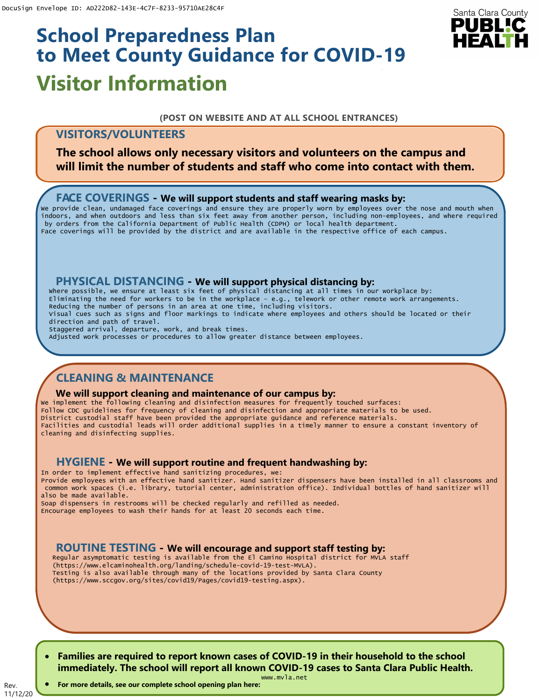# **Visitor Information School Preparedness Plan to Meet County Guidance for COVID-19**

# Santa Clara County PUBLIC

#### **(POST ON WEBSITE AND AT ALL SCHOOL ENTRANCES)**

# **VISITORS/VOLUNTEERS**

**The school allows only necessary visitors and volunteers on the campus and will limit the number of students and staff who come into contact with them.**

## **FACE COVERINGS - We will support students and staff wearing masks by:**

We provide clean, undamaged face coverings and ensure they are properly worn by employees over the nose and mouth when indoors, and when outdoors and less than six feet away from another person, including non-employees, and where required by orders from the California Department of Public Health (CDPH) or local health department. Face coverings will be provided by the district and are available in the respective office of each campus.

## **PHYSICAL DISTANCING - We will support physical distancing by:**

Where possible, we ensure at least six feet of physical distancing at all times in our workplace by: Eliminating the need for workers to be in the workplace – e.g., telework or other remote work arrangements. Reducing the number of persons in an area at one time, including visitors. Visual cues such as signs and floor markings to indicate where employees and others should be located or their direction and path of travel. Staggered arrival, departure, work, and break times. Adjusted work processes or procedures to allow greater distance between employees.

# **CLEANING & MAINTENANCE**

#### **We will support cleaning and maintenance of our campus by:**

We implement the following cleaning and disinfection measures for frequently touched surfaces: Follow CDC guidelines for frequency of cleaning and disinfection and appropriate materials to be used. District custodial staff have been provided the appropriate guidance and reference materials. Facilities and custodial leads will order additional supplies in a timely manner to ensure a constant inventory of cleaning and disinfecting supplies.

## **HYGIENE - We will support routine and frequent handwashing by:**

In order to implement effective hand sanitizing procedures, we: Provide employees with an effective hand sanitizer. Hand sanitizer dispensers have been installed in all classrooms and common work spaces (i.e. library, tutorial center, administration office). Individual bottles of hand sanitizer will also be made available.

Soap dispensers in restrooms will be checked regularly and refilled as needed. Encourage employees to wash their hands for at least 20 seconds each time.

## **ROUTINE TESTING - We will encourage and support staff testing by:**

Regular asymptomatic testing is available from the El Camino Hospital district for MVLA staff (https://www.elcaminohealth.org/landing/schedule-covid-19-test-MVLA). Testing is also available through many of the locations provided by Santa Clara County (https://www.sccgov.org/sites/covid19/Pages/covid19-testing.aspx).

• **Families are required to report known cases of COVID-19 in their household to the school immediately. The school will report all known COVID-19 cases to Santa Clara Public Health.**

11/12/20 • **For more details, see our complete school opening plan here:**

Rev.

www.mvla.net